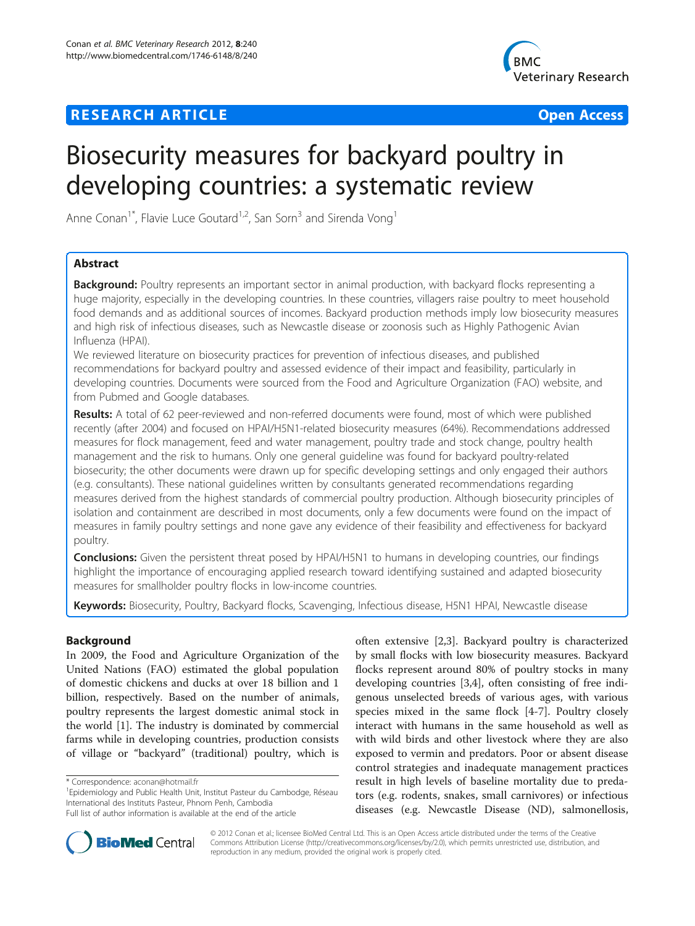# **RESEARCH ARTICLE Example 2014 12:30 THE Open Access**



# Biosecurity measures for backyard poultry in developing countries: a systematic review

Anne Conan<sup>1\*</sup>, Flavie Luce Goutard<sup>1,2</sup>, San Sorn<sup>3</sup> and Sirenda Vong<sup>1</sup>

# Abstract

Background: Poultry represents an important sector in animal production, with backyard flocks representing a huge majority, especially in the developing countries. In these countries, villagers raise poultry to meet household food demands and as additional sources of incomes. Backyard production methods imply low biosecurity measures and high risk of infectious diseases, such as Newcastle disease or zoonosis such as Highly Pathogenic Avian Influenza (HPAI).

We reviewed literature on biosecurity practices for prevention of infectious diseases, and published recommendations for backyard poultry and assessed evidence of their impact and feasibility, particularly in developing countries. Documents were sourced from the Food and Agriculture Organization (FAO) website, and from Pubmed and Google databases.

Results: A total of 62 peer-reviewed and non-referred documents were found, most of which were published recently (after 2004) and focused on HPAI/H5N1-related biosecurity measures (64%). Recommendations addressed measures for flock management, feed and water management, poultry trade and stock change, poultry health management and the risk to humans. Only one general guideline was found for backyard poultry-related biosecurity; the other documents were drawn up for specific developing settings and only engaged their authors (e.g. consultants). These national guidelines written by consultants generated recommendations regarding measures derived from the highest standards of commercial poultry production. Although biosecurity principles of isolation and containment are described in most documents, only a few documents were found on the impact of measures in family poultry settings and none gave any evidence of their feasibility and effectiveness for backyard poultry.

**Conclusions:** Given the persistent threat posed by HPAI/H5N1 to humans in developing countries, our findings highlight the importance of encouraging applied research toward identifying sustained and adapted biosecurity measures for smallholder poultry flocks in low-income countries.

Keywords: Biosecurity, Poultry, Backyard flocks, Scavenging, Infectious disease, H5N1 HPAI, Newcastle disease

# Background

In 2009, the Food and Agriculture Organization of the United Nations (FAO) estimated the global population of domestic chickens and ducks at over 18 billion and 1 billion, respectively. Based on the number of animals, poultry represents the largest domestic animal stock in the world [[1\]](#page-7-0). The industry is dominated by commercial farms while in developing countries, production consists of village or "backyard" (traditional) poultry, which is

often extensive [\[2](#page-7-0),[3](#page-7-0)]. Backyard poultry is characterized by small flocks with low biosecurity measures. Backyard flocks represent around 80% of poultry stocks in many developing countries [[3,4\]](#page-7-0), often consisting of free indigenous unselected breeds of various ages, with various species mixed in the same flock [[4-7](#page-7-0)]. Poultry closely interact with humans in the same household as well as with wild birds and other livestock where they are also exposed to vermin and predators. Poor or absent disease control strategies and inadequate management practices result in high levels of baseline mortality due to predators (e.g. rodents, snakes, small carnivores) or infectious diseases (e.g. Newcastle Disease (ND), salmonellosis,



© 2012 Conan et al.; licensee BioMed Central Ltd. This is an Open Access article distributed under the terms of the Creative Commons Attribution License [\(http://creativecommons.org/licenses/by/2.0\)](http://creativecommons.org/licenses/by/2.0), which permits unrestricted use, distribution, and reproduction in any medium, provided the original work is properly cited.

<sup>\*</sup> Correspondence: [aconan@hotmail.fr](mailto:aconan@hotmail.fr) <sup>1</sup>

<sup>&</sup>lt;sup>1</sup> Epidemiology and Public Health Unit, Institut Pasteur du Cambodge, Réseau International des Instituts Pasteur, Phnom Penh, Cambodia

Full list of author information is available at the end of the article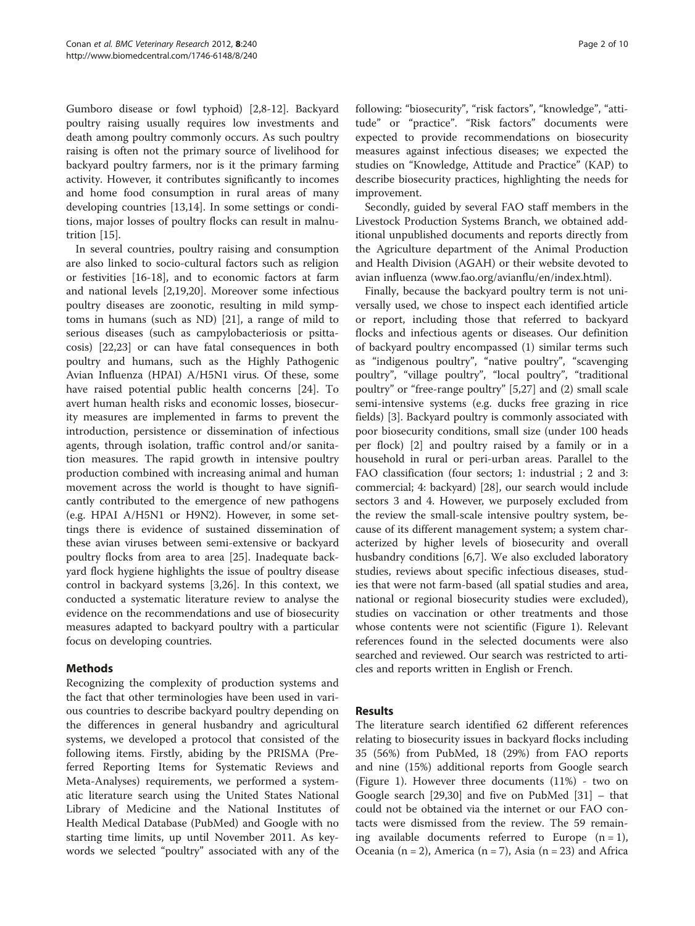Gumboro disease or fowl typhoid) [[2,8-12](#page-7-0)]. Backyard poultry raising usually requires low investments and death among poultry commonly occurs. As such poultry raising is often not the primary source of livelihood for backyard poultry farmers, nor is it the primary farming activity. However, it contributes significantly to incomes and home food consumption in rural areas of many developing countries [\[13,14\]](#page-7-0). In some settings or conditions, major losses of poultry flocks can result in malnutrition [\[15](#page-7-0)].

In several countries, poultry raising and consumption are also linked to socio-cultural factors such as religion or festivities [\[16-18](#page-7-0)], and to economic factors at farm and national levels [[2,19,20\]](#page-7-0). Moreover some infectious poultry diseases are zoonotic, resulting in mild symptoms in humans (such as ND) [\[21\]](#page-7-0), a range of mild to serious diseases (such as campylobacteriosis or psittacosis) [[22,23\]](#page-7-0) or can have fatal consequences in both poultry and humans, such as the Highly Pathogenic Avian Influenza (HPAI) A/H5N1 virus. Of these, some have raised potential public health concerns [\[24](#page-7-0)]. To avert human health risks and economic losses, biosecurity measures are implemented in farms to prevent the introduction, persistence or dissemination of infectious agents, through isolation, traffic control and/or sanitation measures. The rapid growth in intensive poultry production combined with increasing animal and human movement across the world is thought to have significantly contributed to the emergence of new pathogens (e.g. HPAI A/H5N1 or H9N2). However, in some settings there is evidence of sustained dissemination of these avian viruses between semi-extensive or backyard poultry flocks from area to area [[25\]](#page-7-0). Inadequate backyard flock hygiene highlights the issue of poultry disease control in backyard systems [\[3,26\]](#page-7-0). In this context, we conducted a systematic literature review to analyse the evidence on the recommendations and use of biosecurity measures adapted to backyard poultry with a particular focus on developing countries.

# Methods

Recognizing the complexity of production systems and the fact that other terminologies have been used in various countries to describe backyard poultry depending on the differences in general husbandry and agricultural systems, we developed a protocol that consisted of the following items. Firstly, abiding by the PRISMA (Preferred Reporting Items for Systematic Reviews and Meta-Analyses) requirements, we performed a systematic literature search using the United States National Library of Medicine and the National Institutes of Health Medical Database (PubMed) and Google with no starting time limits, up until November 2011. As keywords we selected "poultry" associated with any of the

following: "biosecurity", "risk factors", "knowledge", "attitude" or "practice". "Risk factors" documents were expected to provide recommendations on biosecurity measures against infectious diseases; we expected the studies on "Knowledge, Attitude and Practice" (KAP) to describe biosecurity practices, highlighting the needs for improvement.

Secondly, guided by several FAO staff members in the Livestock Production Systems Branch, we obtained additional unpublished documents and reports directly from the Agriculture department of the Animal Production and Health Division (AGAH) or their website devoted to avian influenza [\(www.fao.org/avianflu/en/index.html](http://www.fao.org/avianflu/en/index.html)).

Finally, because the backyard poultry term is not universally used, we chose to inspect each identified article or report, including those that referred to backyard flocks and infectious agents or diseases. Our definition of backyard poultry encompassed (1) similar terms such as "indigenous poultry", "native poultry", "scavenging poultry", "village poultry", "local poultry", "traditional poultry" or "free-range poultry" [[5](#page-7-0),[27](#page-7-0)] and (2) small scale semi-intensive systems (e.g. ducks free grazing in rice fields) [\[3](#page-7-0)]. Backyard poultry is commonly associated with poor biosecurity conditions, small size (under 100 heads per flock) [[2\]](#page-7-0) and poultry raised by a family or in a household in rural or peri-urban areas. Parallel to the FAO classification (four sectors; 1: industrial ; 2 and 3: commercial; 4: backyard) [[28\]](#page-7-0), our search would include sectors 3 and 4. However, we purposely excluded from the review the small-scale intensive poultry system, because of its different management system; a system characterized by higher levels of biosecurity and overall husbandry conditions [[6,7\]](#page-7-0). We also excluded laboratory studies, reviews about specific infectious diseases, studies that were not farm-based (all spatial studies and area, national or regional biosecurity studies were excluded), studies on vaccination or other treatments and those whose contents were not scientific (Figure [1\)](#page-2-0). Relevant references found in the selected documents were also searched and reviewed. Our search was restricted to articles and reports written in English or French.

# Results

The literature search identified 62 different references relating to biosecurity issues in backyard flocks including 35 (56%) from PubMed, 18 (29%) from FAO reports and nine (15%) additional reports from Google search (Figure [1\)](#page-2-0). However three documents (11%) - two on Google search [\[29,30](#page-7-0)] and five on PubMed [\[31](#page-7-0)] – that could not be obtained via the internet or our FAO contacts were dismissed from the review. The 59 remaining available documents referred to Europe  $(n = 1)$ , Oceania (n = 2), America (n = 7), Asia (n = 23) and Africa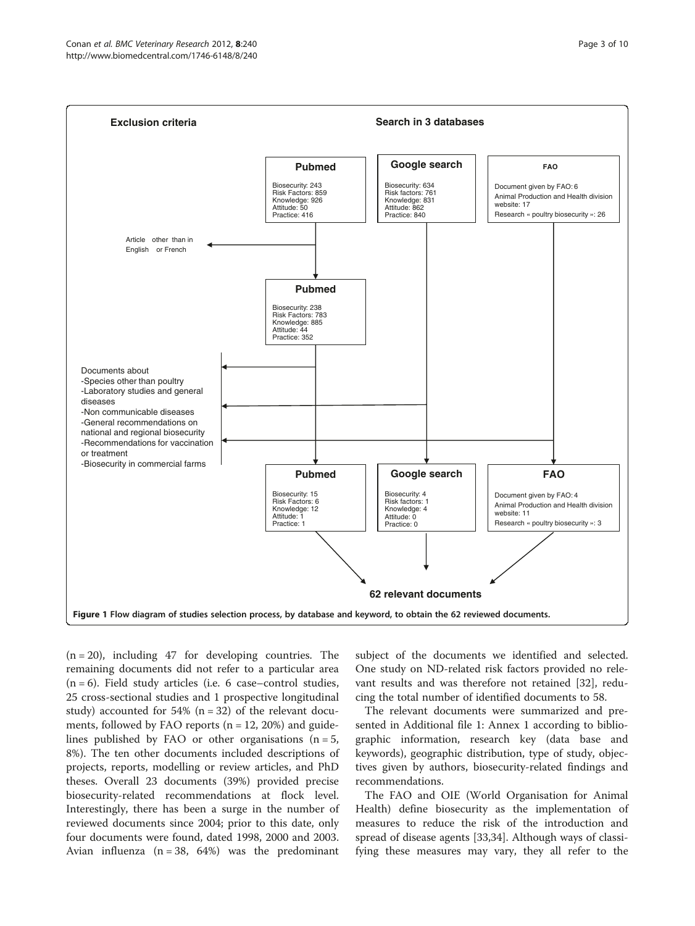<span id="page-2-0"></span>

 $(n = 20)$ , including 47 for developing countries. The remaining documents did not refer to a particular area  $(n = 6)$ . Field study articles (i.e. 6 case–control studies, 25 cross-sectional studies and 1 prospective longitudinal study) accounted for  $54\%$  (n = 32) of the relevant documents, followed by FAO reports  $(n = 12, 20%)$  and guidelines published by FAO or other organisations  $(n = 5,$ 8%). The ten other documents included descriptions of projects, reports, modelling or review articles, and PhD theses. Overall 23 documents (39%) provided precise biosecurity-related recommendations at flock level. Interestingly, there has been a surge in the number of reviewed documents since 2004; prior to this date, only four documents were found, dated 1998, 2000 and 2003. Avian influenza  $(n = 38, 64%)$  was the predominant

subject of the documents we identified and selected. One study on ND-related risk factors provided no relevant results and was therefore not retained [[32\]](#page-7-0), reducing the total number of identified documents to 58.

The relevant documents were summarized and presented in Additional file [1:](#page-6-0) Annex 1 according to bibliographic information, research key (data base and keywords), geographic distribution, type of study, objectives given by authors, biosecurity-related findings and recommendations.

The FAO and OIE (World Organisation for Animal Health) define biosecurity as the implementation of measures to reduce the risk of the introduction and spread of disease agents [[33,34\]](#page-7-0). Although ways of classifying these measures may vary, they all refer to the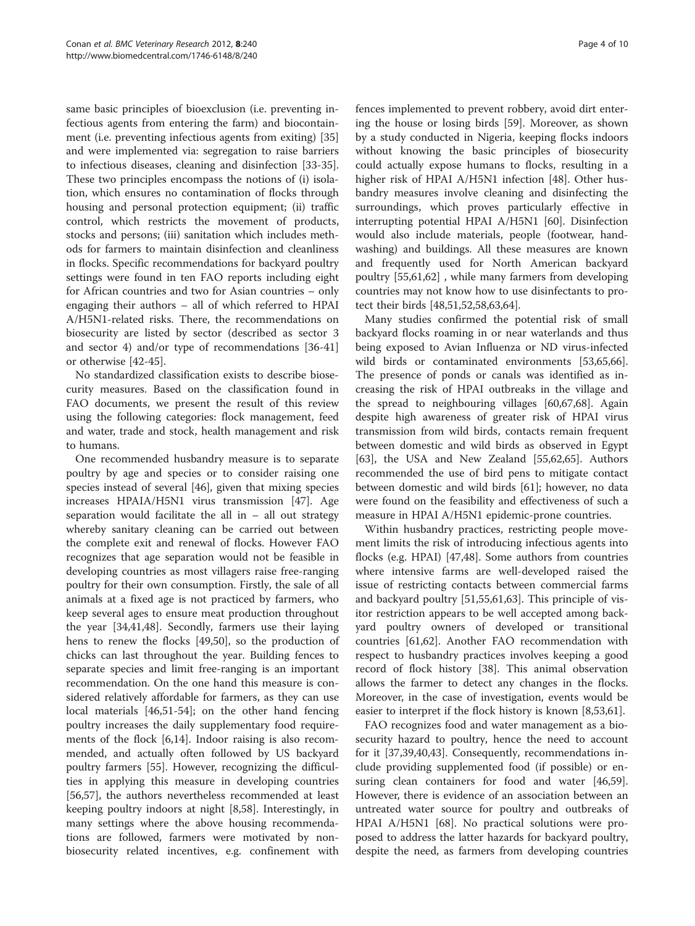same basic principles of bioexclusion (i.e. preventing infectious agents from entering the farm) and biocontainment (i.e. preventing infectious agents from exiting) [[35](#page-7-0)] and were implemented via: segregation to raise barriers to infectious diseases, cleaning and disinfection [\[33-35](#page-7-0)]. These two principles encompass the notions of (i) isolation, which ensures no contamination of flocks through housing and personal protection equipment; (ii) traffic control, which restricts the movement of products, stocks and persons; (iii) sanitation which includes methods for farmers to maintain disinfection and cleanliness in flocks. Specific recommendations for backyard poultry settings were found in ten FAO reports including eight for African countries and two for Asian countries – only engaging their authors – all of which referred to HPAI A/H5N1-related risks. There, the recommendations on biosecurity are listed by sector (described as sector 3 and sector 4) and/or type of recommendations [\[36](#page-7-0)-[41](#page-7-0)] or otherwise [[42-45](#page-7-0)].

No standardized classification exists to describe biosecurity measures. Based on the classification found in FAO documents, we present the result of this review using the following categories: flock management, feed and water, trade and stock, health management and risk to humans.

One recommended husbandry measure is to separate poultry by age and species or to consider raising one species instead of several [\[46\]](#page-7-0), given that mixing species increases HPAIA/H5N1 virus transmission [[47\]](#page-7-0). Age separation would facilitate the all in  $-$  all out strategy whereby sanitary cleaning can be carried out between the complete exit and renewal of flocks. However FAO recognizes that age separation would not be feasible in developing countries as most villagers raise free-ranging poultry for their own consumption. Firstly, the sale of all animals at a fixed age is not practiced by farmers, who keep several ages to ensure meat production throughout the year [[34,41,48\]](#page-7-0). Secondly, farmers use their laying hens to renew the flocks [[49,50](#page-8-0)], so the production of chicks can last throughout the year. Building fences to separate species and limit free-ranging is an important recommendation. On the one hand this measure is considered relatively affordable for farmers, as they can use local materials [\[46,](#page-7-0)[51-54](#page-8-0)]; on the other hand fencing poultry increases the daily supplementary food requirements of the flock [[6,14\]](#page-7-0). Indoor raising is also recommended, and actually often followed by US backyard poultry farmers [[55](#page-8-0)]. However, recognizing the difficulties in applying this measure in developing countries [[56,57\]](#page-8-0), the authors nevertheless recommended at least keeping poultry indoors at night [[8,](#page-7-0)[58\]](#page-8-0). Interestingly, in many settings where the above housing recommendations are followed, farmers were motivated by nonbiosecurity related incentives, e.g. confinement with

fences implemented to prevent robbery, avoid dirt entering the house or losing birds [\[59\]](#page-8-0). Moreover, as shown by a study conducted in Nigeria, keeping flocks indoors without knowing the basic principles of biosecurity could actually expose humans to flocks, resulting in a higher risk of HPAI A/H5N1 infection [[48](#page-7-0)]. Other husbandry measures involve cleaning and disinfecting the surroundings, which proves particularly effective in interrupting potential HPAI A/H5N1 [\[60](#page-8-0)]. Disinfection would also include materials, people (footwear, handwashing) and buildings. All these measures are known and frequently used for North American backyard poultry [[55](#page-8-0),[61](#page-8-0),[62](#page-8-0)] , while many farmers from developing countries may not know how to use disinfectants to protect their birds [\[48](#page-7-0)[,51,52,58,63,64](#page-8-0)].

Many studies confirmed the potential risk of small backyard flocks roaming in or near waterlands and thus being exposed to Avian Influenza or ND virus-infected wild birds or contaminated environments [[53,65,66](#page-8-0)]. The presence of ponds or canals was identified as increasing the risk of HPAI outbreaks in the village and the spread to neighbouring villages [\[60,67,68](#page-8-0)]. Again despite high awareness of greater risk of HPAI virus transmission from wild birds, contacts remain frequent between domestic and wild birds as observed in Egypt [[63\]](#page-8-0), the USA and New Zealand [\[55,62,65\]](#page-8-0). Authors recommended the use of bird pens to mitigate contact between domestic and wild birds [\[61\]](#page-8-0); however, no data were found on the feasibility and effectiveness of such a measure in HPAI A/H5N1 epidemic-prone countries.

Within husbandry practices, restricting people movement limits the risk of introducing infectious agents into flocks (e.g. HPAI) [\[47,48](#page-7-0)]. Some authors from countries where intensive farms are well-developed raised the issue of restricting contacts between commercial farms and backyard poultry [\[51,55,61,63\]](#page-8-0). This principle of visitor restriction appears to be well accepted among backyard poultry owners of developed or transitional countries [[61,62](#page-8-0)]. Another FAO recommendation with respect to husbandry practices involves keeping a good record of flock history [\[38\]](#page-7-0). This animal observation allows the farmer to detect any changes in the flocks. Moreover, in the case of investigation, events would be easier to interpret if the flock history is known [[8,](#page-7-0)[53,61\]](#page-8-0).

FAO recognizes food and water management as a biosecurity hazard to poultry, hence the need to account for it [[37,39,40,43\]](#page-7-0). Consequently, recommendations include providing supplemented food (if possible) or ensuring clean containers for food and water [\[46](#page-7-0)[,59](#page-8-0)]. However, there is evidence of an association between an untreated water source for poultry and outbreaks of HPAI A/H5N1 [\[68](#page-8-0)]. No practical solutions were proposed to address the latter hazards for backyard poultry, despite the need, as farmers from developing countries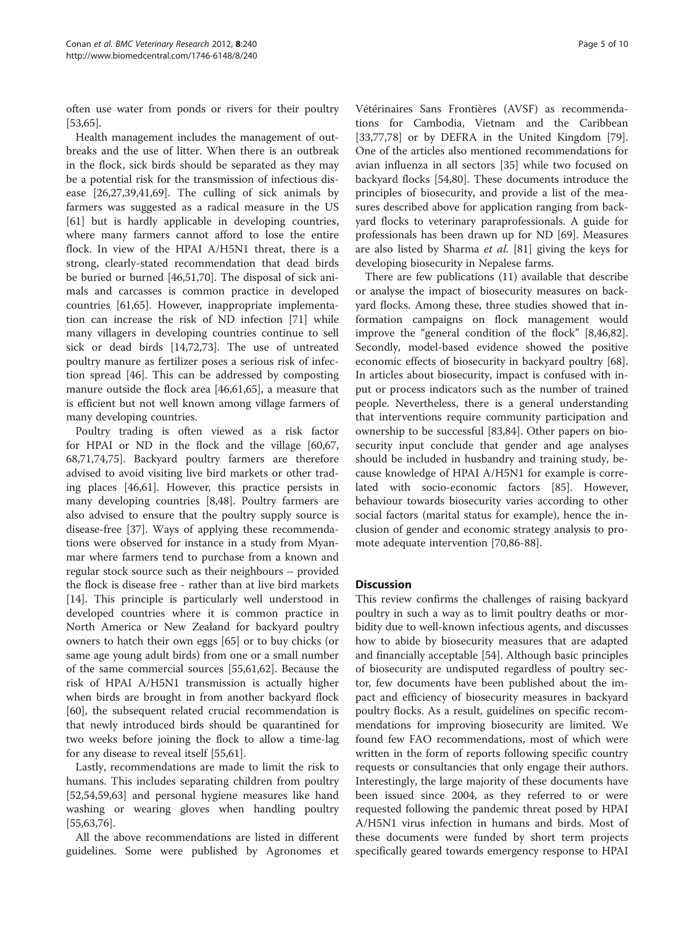often use water from ponds or rivers for their poultry [[53,65\]](#page-8-0).

Health management includes the management of outbreaks and the use of litter. When there is an outbreak in the flock, sick birds should be separated as they may be a potential risk for the transmission of infectious disease [[26,27,39,41,](#page-7-0)[69\]](#page-8-0). The culling of sick animals by farmers was suggested as a radical measure in the US [[61\]](#page-8-0) but is hardly applicable in developing countries, where many farmers cannot afford to lose the entire flock. In view of the HPAI A/H5N1 threat, there is a strong, clearly-stated recommendation that dead birds be buried or burned [[46,](#page-7-0)[51](#page-8-0),[70](#page-8-0)]. The disposal of sick animals and carcasses is common practice in developed countries [[61,65\]](#page-8-0). However, inappropriate implementation can increase the risk of ND infection [[71\]](#page-8-0) while many villagers in developing countries continue to sell sick or dead birds [\[14](#page-7-0)[,72,73\]](#page-8-0). The use of untreated poultry manure as fertilizer poses a serious risk of infection spread [\[46\]](#page-7-0). This can be addressed by composting manure outside the flock area [[46,](#page-7-0)[61,65\]](#page-8-0), a measure that is efficient but not well known among village farmers of many developing countries.

Poultry trading is often viewed as a risk factor for HPAI or ND in the flock and the village [[60](#page-8-0),[67](#page-8-0), [68,71](#page-8-0),[74](#page-8-0),[75](#page-8-0)]. Backyard poultry farmers are therefore advised to avoid visiting live bird markets or other trading places [\[46](#page-7-0)[,61](#page-8-0)]. However, this practice persists in many developing countries [[8,48\]](#page-7-0). Poultry farmers are also advised to ensure that the poultry supply source is disease-free [[37](#page-7-0)]. Ways of applying these recommendations were observed for instance in a study from Myanmar where farmers tend to purchase from a known and regular stock source such as their neighbours – provided the flock is disease free - rather than at live bird markets [[14\]](#page-7-0). This principle is particularly well understood in developed countries where it is common practice in North America or New Zealand for backyard poultry owners to hatch their own eggs [[65\]](#page-8-0) or to buy chicks (or same age young adult birds) from one or a small number of the same commercial sources [[55](#page-8-0),[61,62](#page-8-0)]. Because the risk of HPAI A/H5N1 transmission is actually higher when birds are brought in from another backyard flock [[60\]](#page-8-0), the subsequent related crucial recommendation is that newly introduced birds should be quarantined for two weeks before joining the flock to allow a time-lag for any disease to reveal itself [[55,61\]](#page-8-0).

Lastly, recommendations are made to limit the risk to humans. This includes separating children from poultry [[52,54,59,63\]](#page-8-0) and personal hygiene measures like hand washing or wearing gloves when handling poultry [[55,63,76\]](#page-8-0).

All the above recommendations are listed in different guidelines. Some were published by Agronomes et

Vétérinaires Sans Frontières (AVSF) as recommendations for Cambodia, Vietnam and the Caribbean [[33,](#page-7-0)[77,78\]](#page-8-0) or by DEFRA in the United Kingdom [\[79](#page-8-0)]. One of the articles also mentioned recommendations for avian influenza in all sectors [[35](#page-7-0)] while two focused on backyard flocks [\[54,80](#page-8-0)]. These documents introduce the principles of biosecurity, and provide a list of the measures described above for application ranging from backyard flocks to veterinary paraprofessionals. A guide for professionals has been drawn up for ND [[69\]](#page-8-0). Measures are also listed by Sharma et al. [\[81](#page-8-0)] giving the keys for developing biosecurity in Nepalese farms.

There are few publications (11) available that describe or analyse the impact of biosecurity measures on backyard flocks. Among these, three studies showed that information campaigns on flock management would improve the "general condition of the flock" [\[8,46](#page-7-0)[,82](#page-8-0)]. Secondly, model-based evidence showed the positive economic effects of biosecurity in backyard poultry [\[68](#page-8-0)]. In articles about biosecurity, impact is confused with input or process indicators such as the number of trained people. Nevertheless, there is a general understanding that interventions require community participation and ownership to be successful [\[83,84\]](#page-8-0). Other papers on biosecurity input conclude that gender and age analyses should be included in husbandry and training study, because knowledge of HPAI A/H5N1 for example is correlated with socio-economic factors [[85\]](#page-8-0). However, behaviour towards biosecurity varies according to other social factors (marital status for example), hence the inclusion of gender and economic strategy analysis to promote adequate intervention [\[70,86-88](#page-8-0)].

# **Discussion**

This review confirms the challenges of raising backyard poultry in such a way as to limit poultry deaths or morbidity due to well-known infectious agents, and discusses how to abide by biosecurity measures that are adapted and financially acceptable [[54\]](#page-8-0). Although basic principles of biosecurity are undisputed regardless of poultry sector, few documents have been published about the impact and efficiency of biosecurity measures in backyard poultry flocks. As a result, guidelines on specific recommendations for improving biosecurity are limited. We found few FAO recommendations, most of which were written in the form of reports following specific country requests or consultancies that only engage their authors. Interestingly, the large majority of these documents have been issued since 2004, as they referred to or were requested following the pandemic threat posed by HPAI A/H5N1 virus infection in humans and birds. Most of these documents were funded by short term projects specifically geared towards emergency response to HPAI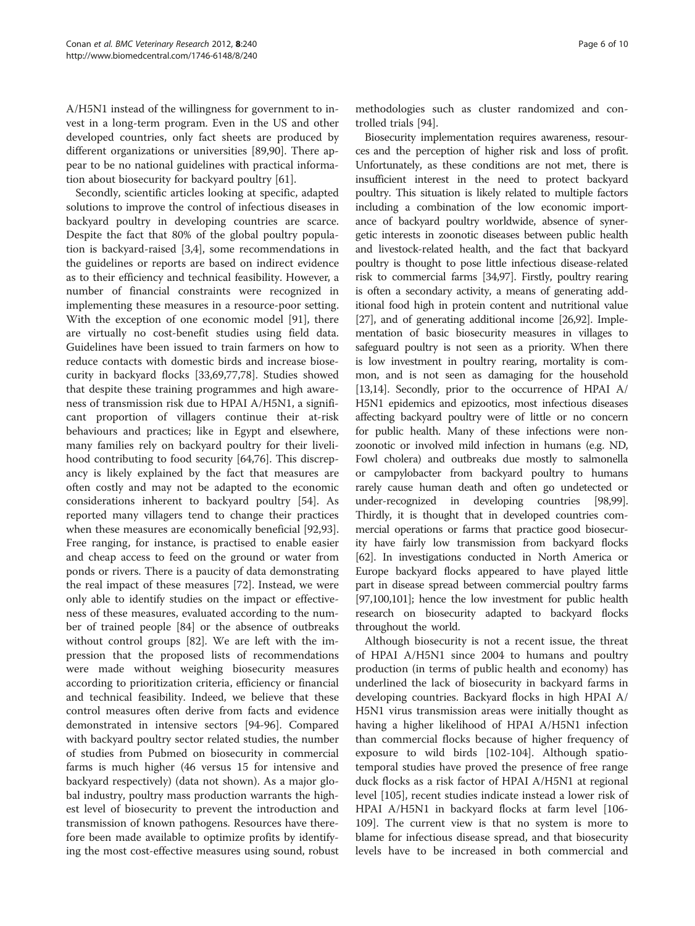A/H5N1 instead of the willingness for government to invest in a long-term program. Even in the US and other developed countries, only fact sheets are produced by different organizations or universities [[89,90](#page-8-0)]. There appear to be no national guidelines with practical information about biosecurity for backyard poultry [[61\]](#page-8-0).

Secondly, scientific articles looking at specific, adapted solutions to improve the control of infectious diseases in backyard poultry in developing countries are scarce. Despite the fact that 80% of the global poultry population is backyard-raised [\[3,4](#page-7-0)], some recommendations in the guidelines or reports are based on indirect evidence as to their efficiency and technical feasibility. However, a number of financial constraints were recognized in implementing these measures in a resource-poor setting. With the exception of one economic model [\[91](#page-8-0)], there are virtually no cost-benefit studies using field data. Guidelines have been issued to train farmers on how to reduce contacts with domestic birds and increase biosecurity in backyard flocks [\[33](#page-7-0)[,69,77,78\]](#page-8-0). Studies showed that despite these training programmes and high awareness of transmission risk due to HPAI A/H5N1, a significant proportion of villagers continue their at-risk behaviours and practices; like in Egypt and elsewhere, many families rely on backyard poultry for their livelihood contributing to food security [[64,76\]](#page-8-0). This discrepancy is likely explained by the fact that measures are often costly and may not be adapted to the economic considerations inherent to backyard poultry [\[54](#page-8-0)]. As reported many villagers tend to change their practices when these measures are economically beneficial [\[92](#page-8-0)[,93](#page-9-0)]. Free ranging, for instance, is practised to enable easier and cheap access to feed on the ground or water from ponds or rivers. There is a paucity of data demonstrating the real impact of these measures [[72\]](#page-8-0). Instead, we were only able to identify studies on the impact or effectiveness of these measures, evaluated according to the number of trained people [\[84](#page-8-0)] or the absence of outbreaks without control groups [[82](#page-8-0)]. We are left with the impression that the proposed lists of recommendations were made without weighing biosecurity measures according to prioritization criteria, efficiency or financial and technical feasibility. Indeed, we believe that these control measures often derive from facts and evidence demonstrated in intensive sectors [\[94-96](#page-9-0)]. Compared with backyard poultry sector related studies, the number of studies from Pubmed on biosecurity in commercial farms is much higher (46 versus 15 for intensive and backyard respectively) (data not shown). As a major global industry, poultry mass production warrants the highest level of biosecurity to prevent the introduction and transmission of known pathogens. Resources have therefore been made available to optimize profits by identifying the most cost-effective measures using sound, robust

methodologies such as cluster randomized and controlled trials [[94](#page-9-0)].

Biosecurity implementation requires awareness, resources and the perception of higher risk and loss of profit. Unfortunately, as these conditions are not met, there is insufficient interest in the need to protect backyard poultry. This situation is likely related to multiple factors including a combination of the low economic importance of backyard poultry worldwide, absence of synergetic interests in zoonotic diseases between public health and livestock-related health, and the fact that backyard poultry is thought to pose little infectious disease-related risk to commercial farms [[34](#page-7-0)[,97\]](#page-9-0). Firstly, poultry rearing is often a secondary activity, a means of generating additional food high in protein content and nutritional value [[27](#page-7-0)], and of generating additional income [\[26](#page-7-0)[,92\]](#page-8-0). Implementation of basic biosecurity measures in villages to safeguard poultry is not seen as a priority. When there is low investment in poultry rearing, mortality is common, and is not seen as damaging for the household [[13,14\]](#page-7-0). Secondly, prior to the occurrence of HPAI A/ H5N1 epidemics and epizootics, most infectious diseases affecting backyard poultry were of little or no concern for public health. Many of these infections were nonzoonotic or involved mild infection in humans (e.g. ND, Fowl cholera) and outbreaks due mostly to salmonella or campylobacter from backyard poultry to humans rarely cause human death and often go undetected or under-recognized in developing countries [\[98,99](#page-9-0)]. Thirdly, it is thought that in developed countries commercial operations or farms that practice good biosecurity have fairly low transmission from backyard flocks [[62](#page-8-0)]. In investigations conducted in North America or Europe backyard flocks appeared to have played little part in disease spread between commercial poultry farms [[97,100,101\]](#page-9-0); hence the low investment for public health research on biosecurity adapted to backyard flocks throughout the world.

Although biosecurity is not a recent issue, the threat of HPAI A/H5N1 since 2004 to humans and poultry production (in terms of public health and economy) has underlined the lack of biosecurity in backyard farms in developing countries. Backyard flocks in high HPAI A/ H5N1 virus transmission areas were initially thought as having a higher likelihood of HPAI A/H5N1 infection than commercial flocks because of higher frequency of exposure to wild birds [\[102](#page-9-0)-[104](#page-9-0)]. Although spatiotemporal studies have proved the presence of free range duck flocks as a risk factor of HPAI A/H5N1 at regional level [\[105](#page-9-0)], recent studies indicate instead a lower risk of HPAI A/H5N1 in backyard flocks at farm level [\[106-](#page-9-0) [109](#page-9-0)]. The current view is that no system is more to blame for infectious disease spread, and that biosecurity levels have to be increased in both commercial and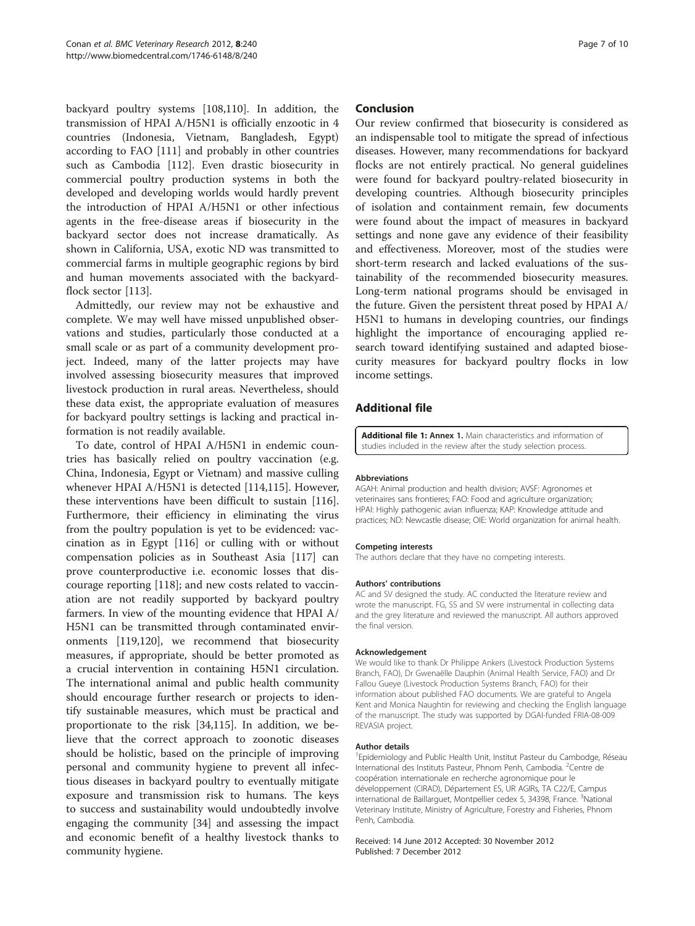<span id="page-6-0"></span>backyard poultry systems [[108,110](#page-9-0)]. In addition, the transmission of HPAI A/H5N1 is officially enzootic in 4 countries (Indonesia, Vietnam, Bangladesh, Egypt) according to FAO [[111](#page-9-0)] and probably in other countries such as Cambodia [[112](#page-9-0)]. Even drastic biosecurity in commercial poultry production systems in both the developed and developing worlds would hardly prevent the introduction of HPAI A/H5N1 or other infectious agents in the free-disease areas if biosecurity in the backyard sector does not increase dramatically. As shown in California, USA, exotic ND was transmitted to commercial farms in multiple geographic regions by bird and human movements associated with the backyardflock sector [\[113](#page-9-0)].

Admittedly, our review may not be exhaustive and complete. We may well have missed unpublished observations and studies, particularly those conducted at a small scale or as part of a community development project. Indeed, many of the latter projects may have involved assessing biosecurity measures that improved livestock production in rural areas. Nevertheless, should these data exist, the appropriate evaluation of measures for backyard poultry settings is lacking and practical information is not readily available.

To date, control of HPAI A/H5N1 in endemic countries has basically relied on poultry vaccination (e.g. China, Indonesia, Egypt or Vietnam) and massive culling whenever HPAI A/H5N1 is detected [[114,115](#page-9-0)]. However, these interventions have been difficult to sustain [\[116](#page-9-0)]. Furthermore, their efficiency in eliminating the virus from the poultry population is yet to be evidenced: vaccination as in Egypt [[116](#page-9-0)] or culling with or without compensation policies as in Southeast Asia [\[117\]](#page-9-0) can prove counterproductive i.e. economic losses that discourage reporting [[118](#page-9-0)]; and new costs related to vaccination are not readily supported by backyard poultry farmers. In view of the mounting evidence that HPAI A/ H5N1 can be transmitted through contaminated environments [[119,120\]](#page-9-0), we recommend that biosecurity measures, if appropriate, should be better promoted as a crucial intervention in containing H5N1 circulation. The international animal and public health community should encourage further research or projects to identify sustainable measures, which must be practical and proportionate to the risk [[34,](#page-7-0)[115\]](#page-9-0). In addition, we believe that the correct approach to zoonotic diseases should be holistic, based on the principle of improving personal and community hygiene to prevent all infectious diseases in backyard poultry to eventually mitigate exposure and transmission risk to humans. The keys to success and sustainability would undoubtedly involve engaging the community [\[34](#page-7-0)] and assessing the impact and economic benefit of a healthy livestock thanks to community hygiene.

## Conclusion

Our review confirmed that biosecurity is considered as an indispensable tool to mitigate the spread of infectious diseases. However, many recommendations for backyard flocks are not entirely practical. No general guidelines were found for backyard poultry-related biosecurity in developing countries. Although biosecurity principles of isolation and containment remain, few documents were found about the impact of measures in backyard settings and none gave any evidence of their feasibility and effectiveness. Moreover, most of the studies were short-term research and lacked evaluations of the sustainability of the recommended biosecurity measures. Long-term national programs should be envisaged in the future. Given the persistent threat posed by HPAI A/ H5N1 to humans in developing countries, our findings highlight the importance of encouraging applied research toward identifying sustained and adapted biosecurity measures for backyard poultry flocks in low income settings.

# Additional file

[Additional file 1:](http://www.biomedcentral.com/content/supplementary/1746-6148-8-240-S1.xls) Annex 1. Main characteristics and information of studies included in the review after the study selection process.

#### Abbreviations

AGAH: Animal production and health division; AVSF: Agronomes et veterinaires sans frontieres; FAO: Food and agriculture organization; HPAI: Highly pathogenic avian influenza; KAP: Knowledge attitude and practices; ND: Newcastle disease; OIE: World organization for animal health.

#### Competing interests

The authors declare that they have no competing interests.

#### Authors' contributions

AC and SV designed the study. AC conducted the literature review and wrote the manuscript. FG, SS and SV were instrumental in collecting data and the grey literature and reviewed the manuscript. All authors approved the final version.

#### Acknowledgement

We would like to thank Dr Philippe Ankers (Livestock Production Systems Branch, FAO), Dr Gwenaëlle Dauphin (Animal Health Service, FAO) and Dr Fallou Gueye (Livestock Production Systems Branch, FAO) for their information about published FAO documents. We are grateful to Angela Kent and Monica Naughtin for reviewing and checking the English language of the manuscript. The study was supported by DGAI-funded FRIA-08-009 REVASIA project.

#### Author details

<sup>1</sup> Epidemiology and Public Health Unit, Institut Pasteur du Cambodge, Réseau International des Instituts Pasteur, Phnom Penh, Cambodia. <sup>2</sup>Centre de coopération internationale en recherche agronomique pour le développement (CIRAD), Département ES, UR AGIRs, TA C22/E, Campus international de Baillarguet, Montpellier cedex 5, 34398, France. <sup>3</sup>National Veterinary Institute, Ministry of Agriculture, Forestry and Fisheries, Phnom Penh, Cambodia.

Received: 14 June 2012 Accepted: 30 November 2012 Published: 7 December 2012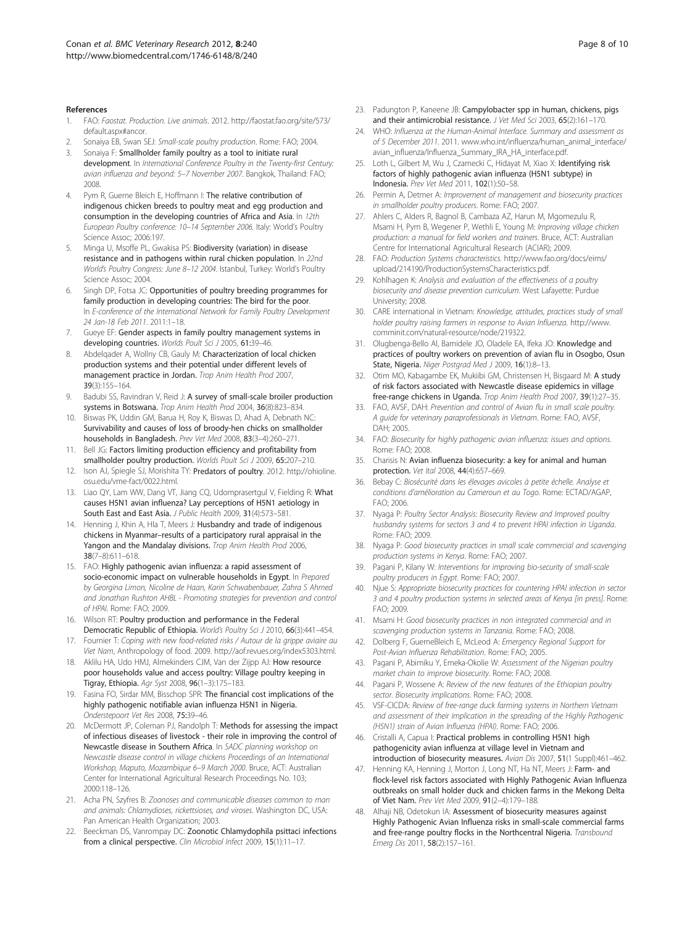#### <span id="page-7-0"></span>References

- 1. FAO: Faostat. Production. Live animals. 2012. [http://faostat.fao.org/site/573/](http://faostat.fao.org/site/573/default.aspx#ancor) [default.aspx#ancor](http://faostat.fao.org/site/573/default.aspx#ancor).
- 2. Sonaiya EB, Swan SEJ: Small-scale poultry production. Rome: FAO; 2004. 3. Sonaiya F: Smallholder family poultry as a tool to initiate rural
- development. In International Conference Poultry in the Twenty-first Century: avian influenza and beyond: 5–7 November 2007. Bangkok, Thailand: FAO; 2008.
- 4. Pym R, Guerne Bleich E, Hoffmann I: The relative contribution of indigenous chicken breeds to poultry meat and egg production and consumption in the developing countries of Africa and Asia. In 12th European Poultry conference: 10–14 September 2006. Italy: World's Poultry Science Assoc; 2006:197.
- 5. Minga U, Msoffe PL, Gwakisa PS: Biodiversity (variation) in disease resistance and in pathogens within rural chicken population. In 22nd World's Poultry Congress: June 8–12 2004. Istanbul, Turkey: World's Poultry Science Assoc; 2004.
- 6. Singh DP, Fotsa JC: Opportunities of poultry breeding programmes for family production in developing countries: The bird for the poor. In E-conference of the International Network for Family Poultry Development 24 Jan-18 Feb 2011. 2011:1–18.
- 7. Gueye EF: Gender aspects in family poultry management systems in developing countries. Worlds Poult Sci J 2005, 61:39–46.
- 8. Abdelgader A, Wollny CB, Gauly M: Characterization of local chicken production systems and their potential under different levels of management practice in Jordan. Trop Anim Health Prod 2007, 39(3):155–164.
- 9. Badubi SS, Ravindran V, Reid J: A survey of small-scale broiler production systems in Botswana. Trop Anim Health Prod 2004, 36(8):823–834.
- 10. Biswas PK, Uddin GM, Barua H, Roy K, Biswas D, Ahad A, Debnath NC: Survivability and causes of loss of broody-hen chicks on smallholder households in Bangladesh. Prev Vet Med 2008, 83(3–4):260–271.
- 11. Bell JG: Factors limiting production efficiency and profitability from smallholder poultry production. Worlds Poult Sci J 2009, 65:207-210.
- 12. Ison AJ, Spiegle SJ, Morishita TY: Predators of poultry. 2012. [http://ohioline.](http://ohioline.osu.edu/vme-fact/0022.html) [osu.edu/vme-fact/0022.html.](http://ohioline.osu.edu/vme-fact/0022.html)
- 13. Liao QY, Lam WW, Dang VT, Jiang CQ, Udomprasertgul V, Fielding R: What causes H5N1 avian influenza? Lay perceptions of H5N1 aetiology in South East and East Asia. J Public Health 2009, 31(4):573–581.
- 14. Henning J, Khin A, Hla T, Meers J: Husbandry and trade of indigenous chickens in Myanmar–results of a participatory rural appraisal in the Yangon and the Mandalay divisions. Trop Anim Health Prod 2006, 38(7–8):611–618.
- 15. FAO: Highly pathogenic avian influenza: a rapid assessment of socio-economic impact on vulnerable households in Egypt. In Prepared by Georgina Limon, Nicoline de Haan, Karin Schwabenbauer, Zahra S Ahmed and Jonathan Rushton AHBL - Promoting strategies for prevention and control of HPAI. Rome: FAO; 2009.
- 16. Wilson RT: Poultry production and performance in the Federal Democratic Republic of Ethiopia. World's Poultry Sci J 2010, 66(3):441-454.
- 17. Fournier T: Coping with new food-related risks / Autour de la grippe aviaire au Viet Nam, Anthropology of food. 2009.<http://aof.revues.org/index5303.html>.
- 18. Aklilu HA, Udo HMJ, Almekinders CJM, Van der Zijpp AJ: How resource poor households value and access poultry: Village poultry keeping in Tigray, Ethiopia. Agr Syst 2008, 96(1–3):175–183.
- 19. Fasina FO, Sirdar MM, Bisschop SPR: The financial cost implications of the highly pathogenic notifiable avian influenza H5N1 in Nigeria. Onderstepoort Vet Res 2008, 75:39–46.
- 20. McDermott JP, Coleman PJ, Randolph T: Methods for assessing the impact of infectious diseases of livestock - their role in improving the control of Newcastle disease in Southern Africa. In SADC planning workshop on Newcastle disease control in village chickens Proceedings of an International Workshop, Maputo, Mozambique 6–9 March 2000. Bruce, ACT: Australian Center for International Agricultural Research Proceedings No. 103; 2000:118–126.
- 21. Acha PN, Szyfres B: Zoonoses and communicable diseases common to man and animals: Chlamydioses, rickettsioses, and viroses. Washington DC, USA: Pan American Health Organization; 2003.
- 22. Beeckman DS, Vanrompay DC: Zoonotic Chlamydophila psittaci infections from a clinical perspective. Clin Microbiol Infect 2009, 15(1):11-17.
- 23. Padungton P, Kaneene JB: Campylobacter spp in human, chickens, pigs and their antimicrobial resistance. J Vet Med Sci 2003, 65(2):161–170.
- 24. WHO: Influenza at the Human-Animal Interface. Summary and assessment as of 5 December 2011. 2011. [www.who.int/influenza/human\\_animal\\_interface/](http://www.who.int/influenza/human_animal_interface/avian_influenza/Influenza_Summary_IRA_HA_interface.pdf) [avian\\_influenza/Influenza\\_Summary\\_IRA\\_HA\\_interface.pdf.](http://www.who.int/influenza/human_animal_interface/avian_influenza/Influenza_Summary_IRA_HA_interface.pdf)
- 25. Loth L, Gilbert M, Wu J, Czarnecki C, Hidayat M, Xiao X: Identifying risk factors of highly pathogenic avian influenza (H5N1 subtype) in Indonesia. Prev Vet Med 2011, 102(1):50–58.
- 26. Permin A, Detmer A: Improvement of management and biosecurity practices in smallholder poultry producers. Rome: FAO; 2007.
- 27. Ahlers C, Alders R, Bagnol B, Cambaza AZ, Harun M, Mgomezulu R, Msami H, Pym B, Wegener P, Wethli E, Young M: Improving village chicken production: a manual for field workers and trainers. Bruce, ACT: Australian Centre for International Agricultural Research (ACIAR); 2009.
- 28. FAO: Production Systems characteristics. [http://www.fao.org/docs/eims/](http://www.fao.org/docs/eims/upload/214190/ProductionSystemsCharacteristics.pdf) [upload/214190/ProductionSystemsCharacteristics.pdf](http://www.fao.org/docs/eims/upload/214190/ProductionSystemsCharacteristics.pdf).
- 29. Kohlhagen K: Analysis and evaluation of the effectiveness of a poultry biosecurity and disease prevention curriculum. West Lafayette: Purdue University; 2008.
- 30. CARE international in Vietnam: Knowledge, attitudes, practices study of small holder poultry raising farmers in response to Avian Influenza. [http://www.](http://www.comminit.com/natural-resource/node/219322) [comminit.com/natural-resource/node/219322](http://www.comminit.com/natural-resource/node/219322).
- 31. Olugbenga-Bello AI, Bamidele JO, Oladele EA, Ifeka JO: Knowledge and practices of poultry workers on prevention of avian flu in Osogbo, Osun State, Nigeria. Niger Postgrad Med J 2009, 16(1):8-13.
- 32. Otim MO, Kabagambe EK, Mukiibi GM, Christensen H, Bisgaard M: A study of risk factors associated with Newcastle disease epidemics in village free-range chickens in Uganda. Trop Anim Health Prod 2007, 39(1):27–35.
- 33. FAO, AVSF, DAH: Prevention and control of Avian flu in small scale poultry. A guide for veterinary paraprofessionals in Vietnam. Rome: FAO, AVSF, DAH; 2005.
- 34. FAO: Biosecurity for highly pathogenic avian influenza: issues and options. Rome: FAO; 2008.
- 35. Charisis N: Avian influenza biosecurity: a key for animal and human protection. Vet Ital 2008, 44(4):657–669.
- 36. Bebay C: Biosécurité dans les élevages avicoles à petite échelle. Analyse et conditions d'amélioration au Cameroun et au Togo. Rome: ECTAD/AGAP, FAO; 2006.
- 37. Nyaga P: Poultry Sector Analysis: Biosecurity Review and Improved poultry husbandry systems for sectors 3 and 4 to prevent HPAI infection in Uganda. Rome: FAO; 2009.
- 38. Nyaga P: Good biosecurity practices in small scale commercial and scavenging production systems in Kenya. Rome: FAO; 2007.
- 39. Pagani P, Kilany W: Interventions for improving bio-security of small-scale poultry producers in Egypt. Rome: FAO; 2007.
- 40. Njue S: Appropriate biosecurity practices for countering HPAI infection in sector 3 and 4 poultry production systems in selected areas of Kenya [in press]. Rome: FAO; 2009.
- 41. Msami H: Good biosecurity practices in non integrated commercial and in scavenging production systems in Tanzania. Rome: FAO; 2008.
- 42. Dolberg F, GuerneBleich E, McLeod A: Emergency Regional Support for Post-Avian Influenza Rehabilitation. Rome: FAO; 2005.
- 43. Pagani P, Abimiku Y, Emeka-Okolie W: Assessment of the Nigerian poultry market chain to improve biosecurity. Rome: FAO; 2008.
- 44. Pagani P, Wossene A: Review of the new features of the Ethiopian poultry sector. Biosecurity implications. Rome: FAO; 2008.
- 45. VSF-CICDA: Review of free-range duck farming systems in Northern Vietnam and assessment of their implication in the spreading of the Highly Pathogenic (H5N1) strain of Avian Influenza (HPAI). Rome: FAO; 2006.
- 46. Cristalli A, Capua I: Practical problems in controlling H5N1 high pathogenicity avian influenza at village level in Vietnam and introduction of biosecurity measures. Avian Dis 2007, 51(1 Suppl):461–462.
- 47. Henning KA, Henning J, Morton J, Long NT, Ha NT, Meers J: Farm- and flock-level risk factors associated with Highly Pathogenic Avian Influenza outbreaks on small holder duck and chicken farms in the Mekong Delta of Viet Nam. Prev Vet Med 2009, 91(2–4):179–188.
- 48. Alhaji NB, Odetokun IA: Assessment of biosecurity measures against Highly Pathogenic Avian Influenza risks in small-scale commercial farms and free-range poultry flocks in the Northcentral Nigeria. Transbound Emerg Dis 2011, 58(2):157–161.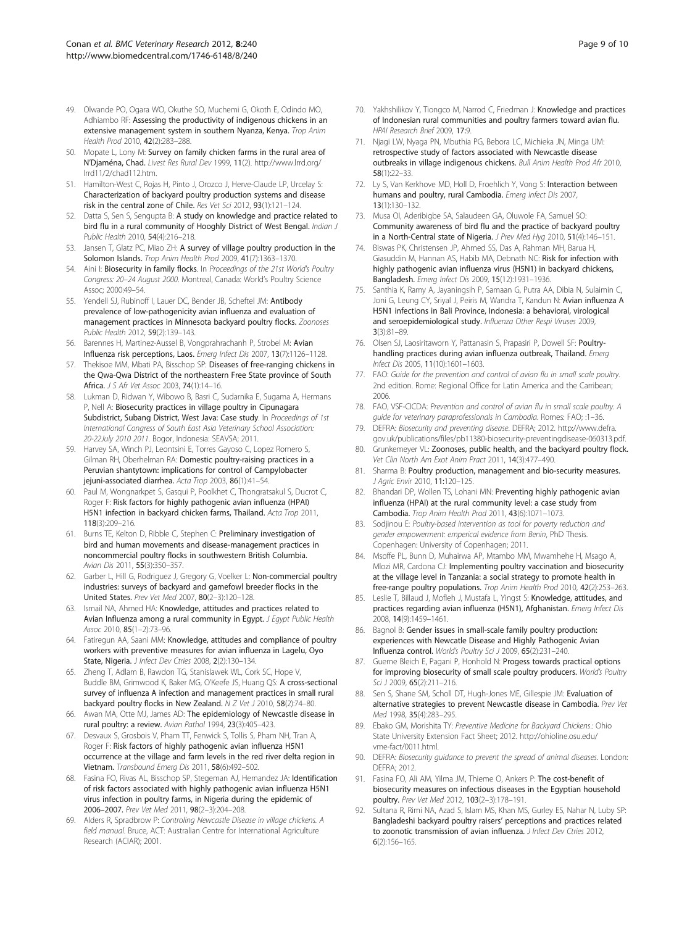- <span id="page-8-0"></span>49. Olwande PO, Ogara WO, Okuthe SO, Muchemi G, Okoth E, Odindo MO, Adhiambo RF: Assessing the productivity of indigenous chickens in an extensive management system in southern Nyanza, Kenya. Trop Anim Health Prod 2010, 42(2):283–288.
- 50. Mopate L, Lony M: Survey on family chicken farms in the rural area of N'Djaména, Chad. Livest Res Rural Dev 1999, 11(2). [http://www.lrrd.org/](http://www.lrrd.org/lrrd11/2/chad112.htm) [lrrd11/2/chad112.htm](http://www.lrrd.org/lrrd11/2/chad112.htm).
- 51. Hamilton-West C, Rojas H, Pinto J, Orozco J, Herve-Claude LP, Urcelay S: Characterization of backyard poultry production systems and disease risk in the central zone of Chile. Res Vet Sci 2012, 93(1):121–124.
- 52. Datta S, Sen S, Sengupta B: A study on knowledge and practice related to bird flu in a rural community of Hooghly District of West Bengal. Indian J Public Health 2010, 54(4):216–218.
- 53. Jansen T, Glatz PC, Miao ZH: A survey of village poultry production in the Solomon Islands. Trop Anim Health Prod 2009, 41(7):1363-1370.
- 54. Aini I: Biosecurity in family flocks. In Proceedings of the 21st World's Poultry Congress: 20–24 August 2000. Montreal, Canada: World's Poultry Science Assoc; 2000:49–54.
- 55. Yendell SJ, Rubinoff I, Lauer DC, Bender JB, Scheftel JM: Antibody prevalence of low-pathogenicity avian influenza and evaluation of management practices in Minnesota backyard poultry flocks. Zoonoses Public Health 2012, 59(2):139–143.
- 56. Barennes H, Martinez-Aussel B, Vongprahrachanh P, Strobel M: Avian Influenza risk perceptions, Laos. Emerg Infect Dis 2007, 13(7):1126–1128.
- 57. Thekisoe MM, Mbati PA, Bisschop SP: Diseases of free-ranging chickens in the Qwa-Qwa District of the northeastern Free State province of South Africa. J S Afr Vet Assoc 2003, 74(1):14–16.
- 58. Lukman D, Ridwan Y, Wibowo B, Basri C, Sudarnika E, Sugama A, Hermans P, Nell A: Biosecurity practices in village poultry in Cipunagara Subdistrict, Subang District, West Java: Case study. In Proceedings of 1st International Congress of South East Asia Veterinary School Association: 20-22July 2010 2011. Bogor, Indonesia: SEAVSA; 2011.
- 59. Harvey SA, Winch PJ, Leontsini E, Torres Gayoso C, Lopez Romero S, Gilman RH, Oberhelman RA: Domestic poultry-raising practices in a Peruvian shantytown: implications for control of Campylobacter jejuni-associated diarrhea. Acta Trop 2003, 86(1):41-54.
- 60. Paul M, Wongnarkpet S, Gasqui P, Poolkhet C, Thongratsakul S, Ducrot C, Roger F: Risk factors for highly pathogenic avian influenza (HPAI) H5N1 infection in backyard chicken farms, Thailand. Acta Trop 2011, 118(3):209–216.
- 61. Burns TE, Kelton D, Ribble C, Stephen C: Preliminary investigation of bird and human movements and disease-management practices in noncommercial poultry flocks in southwestern British Columbia. Avian Dis 2011, 55(3):350–357.
- 62. Garber L, Hill G, Rodriguez J, Gregory G, Voelker L: Non-commercial poultry industries: surveys of backyard and gamefowl breeder flocks in the United States. Prev Vet Med 2007, 80(2–3):120–128.
- 63. Ismail NA, Ahmed HA: Knowledge, attitudes and practices related to Avian Influenza among a rural community in Egypt. J Egypt Public Health Assoc 2010, 85(1–2):73–96.
- 64. Fatiregun AA, Saani MM: Knowledge, attitudes and compliance of poultry workers with preventive measures for avian influenza in Lagelu, Oyo State, Nigeria. J Infect Dev Ctries 2008, 2(2):130-134.
- 65. Zheng T, Adlam B, Rawdon TG, Stanislawek WL, Cork SC, Hope V, Buddle BM, Grimwood K, Baker MG, O'Keefe JS, Huang QS: A cross-sectional survey of influenza A infection and management practices in small rural backyard poultry flocks in New Zealand. N Z Vet J 2010, 58(2):74-80.
- 66. Awan MA, Otte MJ, James AD: The epidemiology of Newcastle disease in rural poultry: a review. Avian Pathol 1994, 23(3):405–423.
- 67. Desvaux S, Grosbois V, Pham TT, Fenwick S, Tollis S, Pham NH, Tran A, Roger F: Risk factors of highly pathogenic avian influenza H5N1 occurrence at the village and farm levels in the red river delta region in Vietnam. Transbound Emerg Dis 2011, 58(6):492–502.
- 68. Fasina FO, Rivas AL, Bisschop SP, Stegeman AJ, Hernandez JA: Identification of risk factors associated with highly pathogenic avian influenza H5N1 virus infection in poultry farms, in Nigeria during the epidemic of 2006–2007. Prev Vet Med 2011, 98(2–3):204–208.
- 69. Alders R, Spradbrow P: Controling Newcastle Disease in village chickens. A field manual. Bruce, ACT: Australian Centre for International Agriculture Research (ACIAR); 2001.
- 70. Yakhshilikov Y, Tiongco M, Narrod C, Friedman J: Knowledge and practices of Indonesian rural communities and poultry farmers toward avian flu. HPAI Research Brief 2009, 17:9.
- 71. Njagi LW, Nyaga PN, Mbuthia PG, Bebora LC, Michieka JN, Minga UM: retrospective study of factors associated with Newcastle disease outbreaks in village indigenous chickens. Bull Anim Health Prod Afr 2010, 58(1):22–33.
- 72. Ly S, Van Kerkhove MD, Holl D, Froehlich Y, Vong S: Interaction between humans and poultry, rural Cambodia. Emerg Infect Dis 2007, 13(1):130–132.
- 73. Musa OI, Aderibigbe SA, Salaudeen GA, Oluwole FA, Samuel SO: Community awareness of bird flu and the practice of backyard poultry in a North-Central state of Nigeria. J Prev Med Hyg 2010, 51(4):146-151.
- 74. Biswas PK, Christensen JP, Ahmed SS, Das A, Rahman MH, Barua H, Giasuddin M, Hannan AS, Habib MA, Debnath NC: Risk for infection with highly pathogenic avian influenza virus (H5N1) in backyard chickens, Bangladesh. Emerg Infect Dis 2009, 15(12):1931–1936.
- Santhia K, Ramy A, Jayaningsih P, Samaan G, Putra AA, Dibia N, Sulaimin C, Joni G, Leung CY, Sriyal J, Peiris M, Wandra T, Kandun N: Avian influenza A H5N1 infections in Bali Province, Indonesia: a behavioral, virological and seroepidemiological study. Influenza Other Respi Viruses 2009, 3(3):81–89.
- 76. Olsen SJ, Laosiritaworn Y, Pattanasin S, Prapasiri P, Dowell SF: Poultryhandling practices during avian influenza outbreak, Thailand. Emerg Infect Dis 2005, 11(10):1601–1603.
- 77. FAO: Guide for the prevention and control of avian flu in small scale poultry. 2nd edition. Rome: Regional Office for Latin America and the Carribean; 2006.
- 78. FAO, VSF-CICDA: Prevention and control of avian flu in small scale poultry. A guide for veterinary paraprofessionals in Cambodia. Romes: FAO; :1–36.
- 79. DEFRA: Biosecurity and preventing disease. DEFRA; 2012. [http://www.defra.](http://www.defra.gov.uk/publications/files/pb11380-biosecurity-preventingdisease-060313.pdf) [gov.uk/publications/files/pb11380-biosecurity-preventingdisease-060313.pdf.](http://www.defra.gov.uk/publications/files/pb11380-biosecurity-preventingdisease-060313.pdf)
- 80. Grunkemeyer VL: Zoonoses, public health, and the backyard poultry flock. Vet Clin North Am Exot Anim Pract 2011, 14(3):477–490.
- 81. Sharma B: Poultry production, management and bio-security measures. J Agric Envir 2010, 11:120–125.
- 82. Bhandari DP, Wollen TS, Lohani MN: Preventing highly pathogenic avian influenza (HPAI) at the rural community level: a case study from Cambodia. Trop Anim Health Prod 2011, 43(6):1071–1073.
- 83. Sodjinou E: Poultry-based intervention as tool for poverty reduction and gender empowerment: emperical evidence from Benin, PhD Thesis. Copenhagen: University of Copenhagen; 2011.
- 84. Msoffe PL, Bunn D, Muhairwa AP, Mtambo MM, Mwamhehe H, Msago A, Mlozi MR, Cardona CJ: Implementing poultry vaccination and biosecurity at the village level in Tanzania: a social strategy to promote health in free-range poultry populations. Trop Anim Health Prod 2010, 42(2):253-263.
- 85. Leslie T, Billaud J, Mofleh J, Mustafa L, Yingst S: Knowledge, attitudes, and practices regarding avian influenza (H5N1), Afghanistan. Emerg Infect Dis 2008, 14(9):1459–1461.
- 86. Bagnol B: Gender issues in small-scale family poultry production: experiences with Newcatle Disease and Highly Pathogenic Avian Influenza control. World's Poultry Sci J 2009, 65(2):231–240.
- 87. Guerne Bleich E, Pagani P, Honhold N: Progess towards practical options for improving biosecurity of small scale poultry producers. World's Poultry Sci J 2009, 65(2):211–216.
- 88. Sen S, Shane SM, Scholl DT, Hugh-Jones ME, Gillespie JM: Evaluation of alternative strategies to prevent Newcastle disease in Cambodia. Prev Vet Med 1998, 35(4):283–295.
- 89. Ebako GM, Morishita TY: Preventive Medicine for Backyard Chickens.: Ohio State University Extension Fact Sheet; 2012. [http://ohioline.osu.edu/](http://ohioline.osu.edu/vme-fact/0011.html) [vme-fact/0011.html.](http://ohioline.osu.edu/vme-fact/0011.html)
- 90. DEFRA: Biosecurity guidance to prevent the spread of animal diseases. London: DEFRA; 2012.
- 91. Fasina FO, Ali AM, Yilma JM, Thieme O, Ankers P: The cost-benefit of biosecurity measures on infectious diseases in the Egyptian household poultry. Prev Vet Med 2012, 103(2–3):178–191.
- 92. Sultana R, Rimi NA, Azad S, Islam MS, Khan MS, Gurley ES, Nahar N, Luby SP: Bangladeshi backyard poultry raisers' perceptions and practices related to zoonotic transmission of avian influenza. J Infect Dev Ctries 2012, 6(2):156–165.